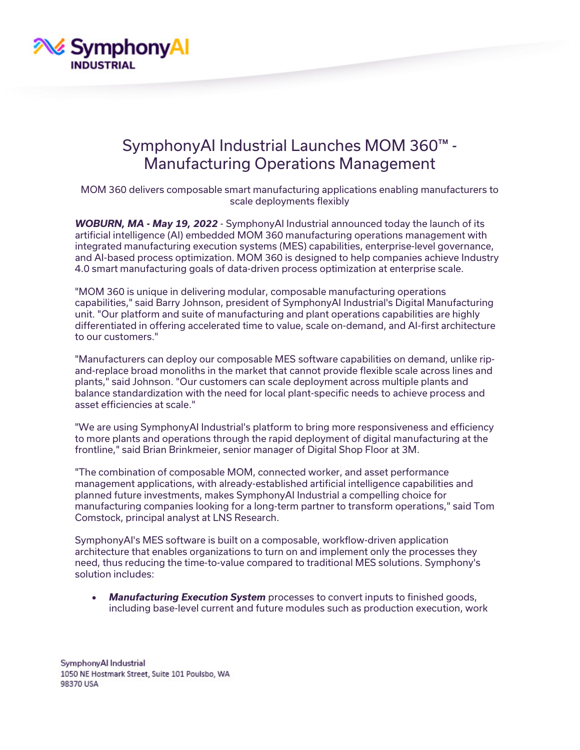

## SymphonyAI Industrial Launches MOM 360™ - Manufacturing Operations Management

MOM 360 delivers composable smart manufacturing applications enabling manufacturers to scale deployments flexibly

*WOBURN, MA - May 19, 2022* - SymphonyAI Industrial announced today the launch of its artificial intelligence (AI) embedded MOM 360 manufacturing operations management with integrated manufacturing execution systems (MES) capabilities, enterprise-level governance, and AI-based process optimization. MOM 360 is designed to help companies achieve Industry 4.0 smart manufacturing goals of data-driven process optimization at enterprise scale.

"MOM 360 is unique in delivering modular, composable manufacturing operations capabilities," said Barry Johnson, president of SymphonyAI Industrial's Digital Manufacturing unit. "Our platform and suite of manufacturing and plant operations capabilities are highly differentiated in offering accelerated time to value, scale on-demand, and AI-first architecture to our customers."

"Manufacturers can deploy our composable MES software capabilities on demand, unlike ripand-replace broad monoliths in the market that cannot provide flexible scale across lines and plants," said Johnson. "Our customers can scale deployment across multiple plants and balance standardization with the need for local plant-specific needs to achieve process and asset efficiencies at scale."

"We are using SymphonyAI Industrial's platform to bring more responsiveness and efficiency to more plants and operations through the rapid deployment of digital manufacturing at the frontline," said Brian Brinkmeier, senior manager of Digital Shop Floor at 3M.

"The combination of composable MOM, connected worker, and asset performance management applications, with already-established artificial intelligence capabilities and planned future investments, makes SymphonyAI Industrial a compelling choice for manufacturing companies looking for a long-term partner to transform operations," said Tom Comstock, principal analyst at LNS Research.

SymphonyAI's MES software is built on a composable, workflow-driven application architecture that enables organizations to turn on and implement only the processes they need, thus reducing the time-to-value compared to traditional MES solutions. Symphony's solution includes:

• *Manufacturing Execution System* processes to convert inputs to finished goods, including base-level current and future modules such as production execution, work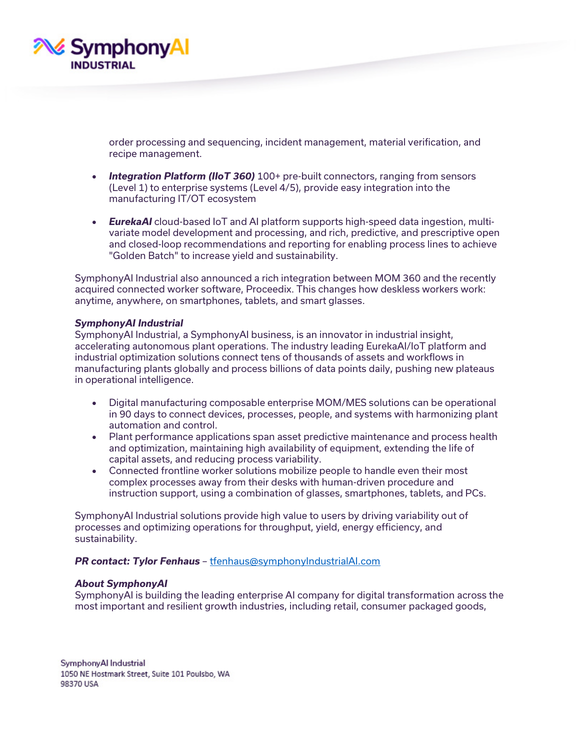

order processing and sequencing, incident management, material verification, and recipe management.

- *Integration Platform (IIoT 360)* 100+ pre-built connectors, ranging from sensors (Level 1) to enterprise systems (Level 4/5), provide easy integration into the manufacturing IT/OT ecosystem
- *EurekaAI* cloud-based IoT and AI platform supports high-speed data ingestion, multivariate model development and processing, and rich, predictive, and prescriptive open and closed-loop recommendations and reporting for enabling process lines to achieve "Golden Batch" to increase yield and sustainability.

SymphonyAI Industrial also announced a rich integration between MOM 360 and the recently acquired connected worker software, Proceedix. This changes how deskless workers work: anytime, anywhere, on smartphones, tablets, and smart glasses.

## *SymphonyAI Industrial*

SymphonyAI Industrial, a SymphonyAI business, is an innovator in industrial insight, accelerating autonomous plant operations. The industry leading EurekaAI/IoT platform and industrial optimization solutions connect tens of thousands of assets and workflows in manufacturing plants globally and process billions of data points daily, pushing new plateaus in operational intelligence.

- Digital manufacturing composable enterprise MOM/MES solutions can be operational in 90 days to connect devices, processes, people, and systems with harmonizing plant automation and control.
- Plant performance applications span asset predictive maintenance and process health and optimization, maintaining high availability of equipment, extending the life of capital assets, and reducing process variability.
- Connected frontline worker solutions mobilize people to handle even their most complex processes away from their desks with human-driven procedure and instruction support, using a combination of glasses, smartphones, tablets, and PCs.

SymphonyAI Industrial solutions provide high value to users by driving variability out of processes and optimizing operations for throughput, yield, energy efficiency, and sustainability.

## *PR contact: Tylor Fenhaus* – [tfenhaus@symphonyIndustrialAI.com](mailto:tfenhaus@symphonyIndustrialAI.com)

## *About SymphonyAI*

SymphonyAI is building the leading enterprise AI company for digital transformation across the most important and resilient growth industries, including retail, consumer packaged goods,

SymphonyAl Industrial 1050 NE Hostmark Street, Suite 101 Poulsbo, WA 98370 USA